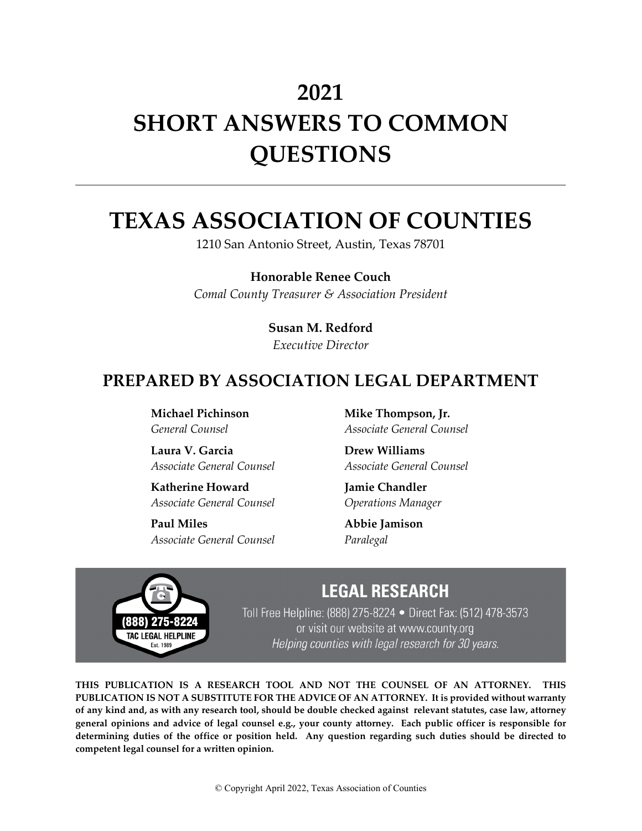# **2021 SHORT ANSWERS TO COMMON QUESTIONS**

## **TEXAS ASSOCIATION OF COUNTIES**

1210 San Antonio Street, Austin, Texas 78701

**Honorable Renee Couch**  *Comal County Treasurer & Association President*

**Susan M. Redford**

*Executive Director*

## **PREPARED BY ASSOCIATION LEGAL DEPARTMENT**

**Michael Pichinson** *General Counsel*

**Laura V. Garcia** *Associate General Counsel*

**Katherine Howard** *Associate General Counsel*

**Paul Miles** *Associate General Counsel* **Mike Thompson, Jr.** *Associate General Counsel*

**Drew Williams** *Associate General Counsel*

**Jamie Chandler** *Operations Manager*

**Abbie Jamison** *Paralegal*



## **LEGAL RESEARCH**

Toll Free Helpline: (888) 275-8224 • Direct Fax: (512) 478-3573 or visit our website at www.county.org Helping counties with legal research for 30 years.

**THIS PUBLICATION IS A RESEARCH TOOL AND NOT THE COUNSEL OF AN ATTORNEY. THIS PUBLICATION IS NOT A SUBSTITUTE FOR THE ADVICE OF AN ATTORNEY. It is provided without warranty of any kind and, as with any research tool, should be double checked against relevant statutes, case law, attorney general opinions and advice of legal counsel e.g., your county attorney. Each public officer is responsible for determining duties of the office or position held. Any question regarding such duties should be directed to competent legal counsel for a written opinion.**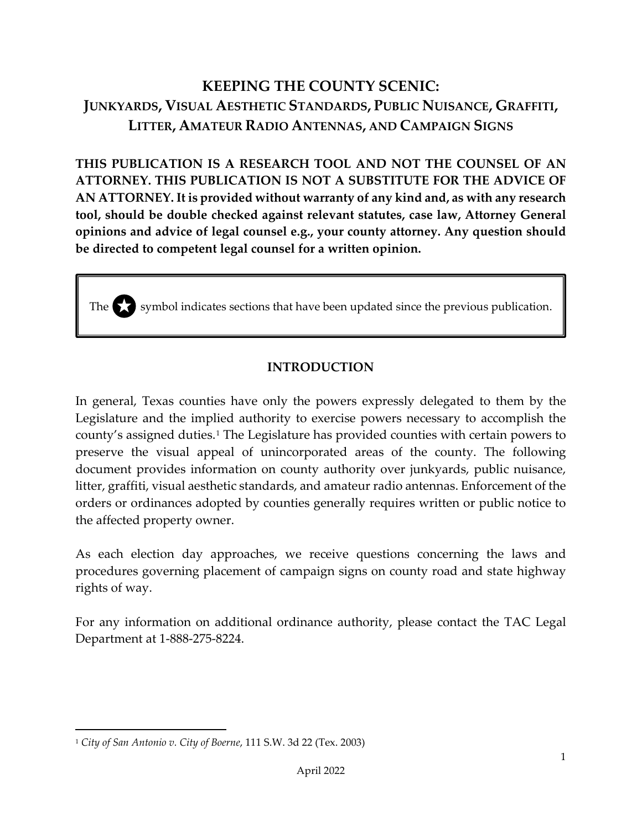## **KEEPING THE COUNTY SCENIC: JUNKYARDS, VISUAL AESTHETIC STANDARDS, PUBLIC NUISANCE, GRAFFITI, LITTER, AMATEUR RADIO ANTENNAS, AND CAMPAIGN SIGNS**

**THIS PUBLICATION IS A RESEARCH TOOL AND NOT THE COUNSEL OF AN ATTORNEY. THIS PUBLICATION IS NOT A SUBSTITUTE FOR THE ADVICE OF AN ATTORNEY. It is provided without warranty of any kind and, as with any research tool, should be double checked against relevant statutes, case law, Attorney General opinions and advice of legal counsel e.g., your county attorney. Any question should be directed to competent legal counsel for a written opinion.**

The symbol indicates sections that have been updated since the previous publication.

#### **INTRODUCTION**

In general, Texas counties have only the powers expressly delegated to them by the Legislature and the implied authority to exercise powers necessary to accomplish the county's assigned duties.[1](#page-1-0) The Legislature has provided counties with certain powers to preserve the visual appeal of unincorporated areas of the county. The following document provides information on county authority over junkyards, public nuisance, litter, graffiti, visual aesthetic standards, and amateur radio antennas. Enforcement of the orders or ordinances adopted by counties generally requires written or public notice to the affected property owner.

As each election day approaches, we receive questions concerning the laws and procedures governing placement of campaign signs on county road and state highway rights of way.

For any information on additional ordinance authority, please contact the TAC Legal Department at 1-888-275-8224.

<span id="page-1-0"></span><sup>1</sup> *City of San Antonio v. City of Boerne*, 111 S.W. 3d 22 (Tex. 2003)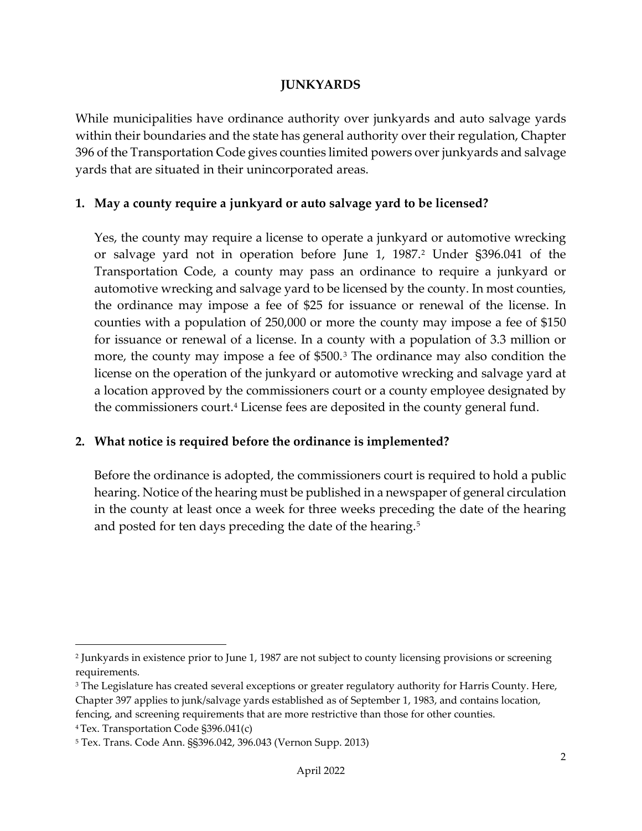#### **JUNKYARDS**

While municipalities have ordinance authority over junkyards and auto salvage yards within their boundaries and the state has general authority over their regulation, Chapter 396 of the Transportation Code gives counties limited powers over junkyards and salvage yards that are situated in their unincorporated areas.

#### **1. May a county require a junkyard or auto salvage yard to be licensed?**

Yes, the county may require a license to operate a junkyard or automotive wrecking or salvage yard not in operation before June 1, 1987.[2](#page-2-0) Under §396.041 of the Transportation Code, a county may pass an ordinance to require a junkyard or automotive wrecking and salvage yard to be licensed by the county. In most counties, the ordinance may impose a fee of \$25 for issuance or renewal of the license. In counties with a population of 250,000 or more the county may impose a fee of \$150 for issuance or renewal of a license. In a county with a population of 3.3 million or more, the county may impose a fee of \$500.<sup>[3](#page-2-1)</sup> The ordinance may also condition the license on the operation of the junkyard or automotive wrecking and salvage yard at a location approved by the commissioners court or a county employee designated by the commissioners court.<sup>[4](#page-2-2)</sup> License fees are deposited in the county general fund.

#### **2. What notice is required before the ordinance is implemented?**

Before the ordinance is adopted, the commissioners court is required to hold a public hearing. Notice of the hearing must be published in a newspaper of general circulation in the county at least once a week for three weeks preceding the date of the hearing and posted for ten days preceding the date of the hearing.<sup>[5](#page-2-3)</sup>

<span id="page-2-0"></span><sup>2</sup> Junkyards in existence prior to June 1, 1987 are not subject to county licensing provisions or screening requirements.

<span id="page-2-1"></span><sup>&</sup>lt;sup>3</sup> The Legislature has created several exceptions or greater regulatory authority for Harris County. Here, Chapter 397 applies to junk/salvage yards established as of September 1, 1983, and contains location, fencing, and screening requirements that are more restrictive than those for other counties.

<span id="page-2-2"></span><sup>4</sup> Tex. Transportation Code §396.041(c)

<span id="page-2-3"></span><sup>5</sup> Tex. Trans. Code Ann. §§396.042, 396.043 (Vernon Supp. 2013)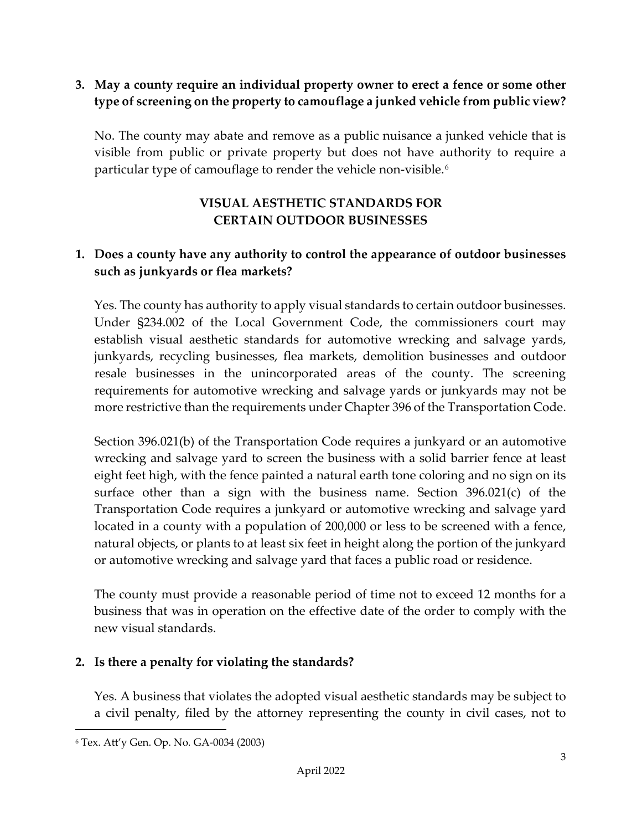## **3. May a county require an individual property owner to erect a fence or some other type of screening on the property to camouflage a junked vehicle from public view?**

No. The county may abate and remove as a public nuisance a junked vehicle that is visible from public or private property but does not have authority to require a particular type of camouflage to render the vehicle non-visible.<sup>[6](#page-3-0)</sup>

#### **VISUAL AESTHETIC STANDARDS FOR CERTAIN OUTDOOR BUSINESSES**

#### **1. Does a county have any authority to control the appearance of outdoor businesses such as junkyards or flea markets?**

Yes. The county has authority to apply visual standards to certain outdoor businesses. Under §234.002 of the Local Government Code, the commissioners court may establish visual aesthetic standards for automotive wrecking and salvage yards, junkyards, recycling businesses, flea markets, demolition businesses and outdoor resale businesses in the unincorporated areas of the county. The screening requirements for automotive wrecking and salvage yards or junkyards may not be more restrictive than the requirements under Chapter 396 of the Transportation Code.

Section 396.021(b) of the Transportation Code requires a junkyard or an automotive wrecking and salvage yard to screen the business with a solid barrier fence at least eight feet high, with the fence painted a natural earth tone coloring and no sign on its surface other than a sign with the business name. Section 396.021(c) of the Transportation Code requires a junkyard or automotive wrecking and salvage yard located in a county with a population of 200,000 or less to be screened with a fence, natural objects, or plants to at least six feet in height along the portion of the junkyard or automotive wrecking and salvage yard that faces a public road or residence.

The county must provide a reasonable period of time not to exceed 12 months for a business that was in operation on the effective date of the order to comply with the new visual standards.

#### **2. Is there a penalty for violating the standards?**

Yes. A business that violates the adopted visual aesthetic standards may be subject to a civil penalty, filed by the attorney representing the county in civil cases, not to

<span id="page-3-0"></span><sup>6</sup> Tex. Att'y Gen. Op. No. GA-0034 (2003)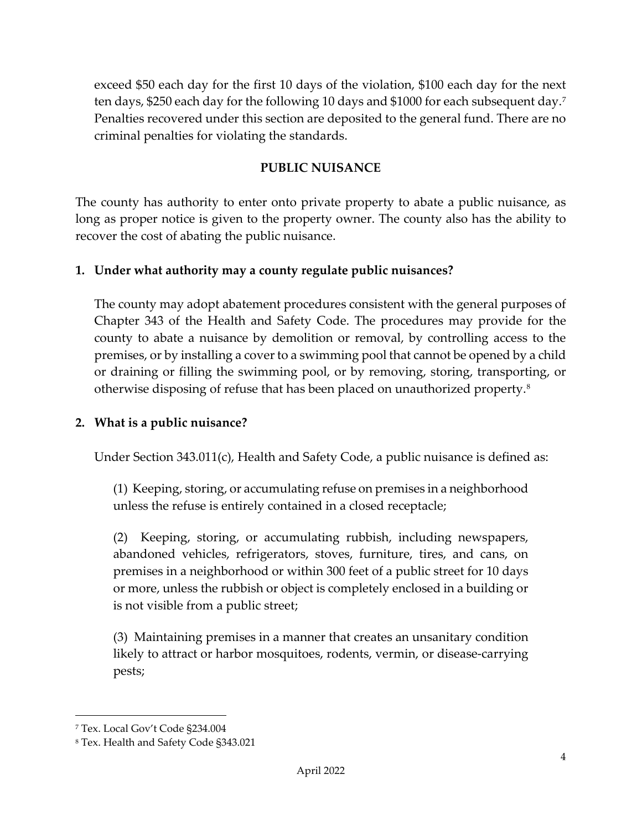exceed \$50 each day for the first 10 days of the violation, \$100 each day for the next ten days, \$250 each day for the following 10 days and \$1000 for each subsequent day.[7](#page-4-0) Penalties recovered under this section are deposited to the general fund. There are no criminal penalties for violating the standards.

#### **PUBLIC NUISANCE**

The county has authority to enter onto private property to abate a public nuisance, as long as proper notice is given to the property owner. The county also has the ability to recover the cost of abating the public nuisance.

#### **1. Under what authority may a county regulate public nuisances?**

The county may adopt abatement procedures consistent with the general purposes of Chapter 343 of the Health and Safety Code. The procedures may provide for the county to abate a nuisance by demolition or removal, by controlling access to the premises, or by installing a cover to a swimming pool that cannot be opened by a child or draining or filling the swimming pool, or by removing, storing, transporting, or otherwise disposing of refuse that has been placed on unauthorized property[.8](#page-4-1)

#### **2. What is a public nuisance?**

Under Section 343.011(c), Health and Safety Code, a public nuisance is defined as:

(1) Keeping, storing, or accumulating refuse on premises in a neighborhood unless the refuse is entirely contained in a closed receptacle;

(2) Keeping, storing, or accumulating rubbish, including newspapers, abandoned vehicles, refrigerators, stoves, furniture, tires, and cans, on premises in a neighborhood or within 300 feet of a public street for 10 days or more, unless the rubbish or object is completely enclosed in a building or is not visible from a public street;

(3) Maintaining premises in a manner that creates an unsanitary condition likely to attract or harbor mosquitoes, rodents, vermin, or disease-carrying pests;

<span id="page-4-0"></span><sup>7</sup> Tex. Local Gov't Code §234.004

<span id="page-4-1"></span><sup>8</sup> Tex. Health and Safety Code §343.021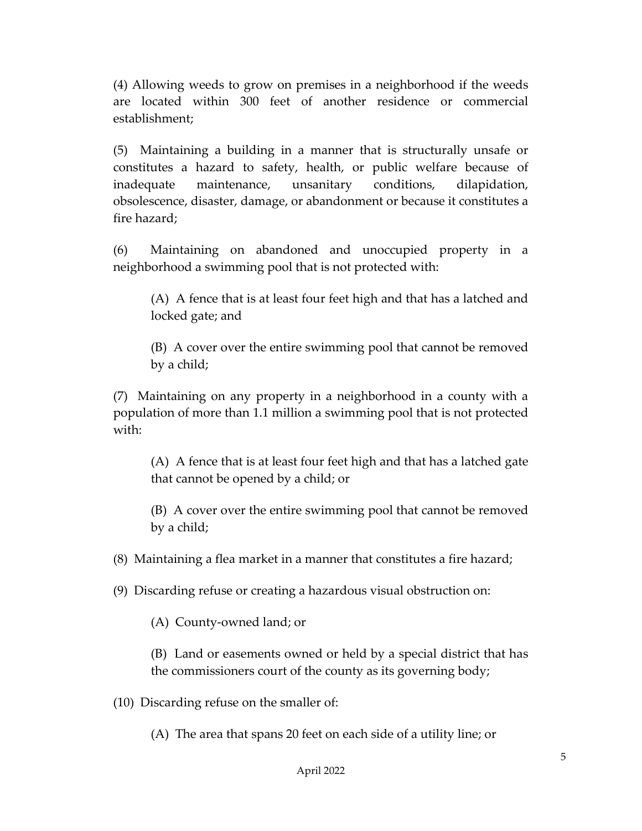(4) Allowing weeds to grow on premises in a neighborhood if the weeds are located within 300 feet of another residence or commercial establishment;

(5) Maintaining a building in a manner that is structurally unsafe or constitutes a hazard to safety, health, or public welfare because of inadequate maintenance, unsanitary conditions, dilapidation, obsolescence, disaster, damage, or abandonment or because it constitutes a fire hazard;

(6) Maintaining on abandoned and unoccupied property in a neighborhood a swimming pool that is not protected with:

(A) A fence that is at least four feet high and that has a latched and locked gate; and

(B) A cover over the entire swimming pool that cannot be removed by a child;

(7) Maintaining on any property in a neighborhood in a county with a population of more than 1.1 million a swimming pool that is not protected with:

(A) A fence that is at least four feet high and that has a latched gate that cannot be opened by a child; or

(B) A cover over the entire swimming pool that cannot be removed by a child;

(8) Maintaining a flea market in a manner that constitutes a fire hazard;

(9) Discarding refuse or creating a hazardous visual obstruction on:

(A) County-owned land; or

(B) Land or easements owned or held by a special district that has the commissioners court of the county as its governing body;

(10) Discarding refuse on the smaller of:

(A) The area that spans 20 feet on each side of a utility line; or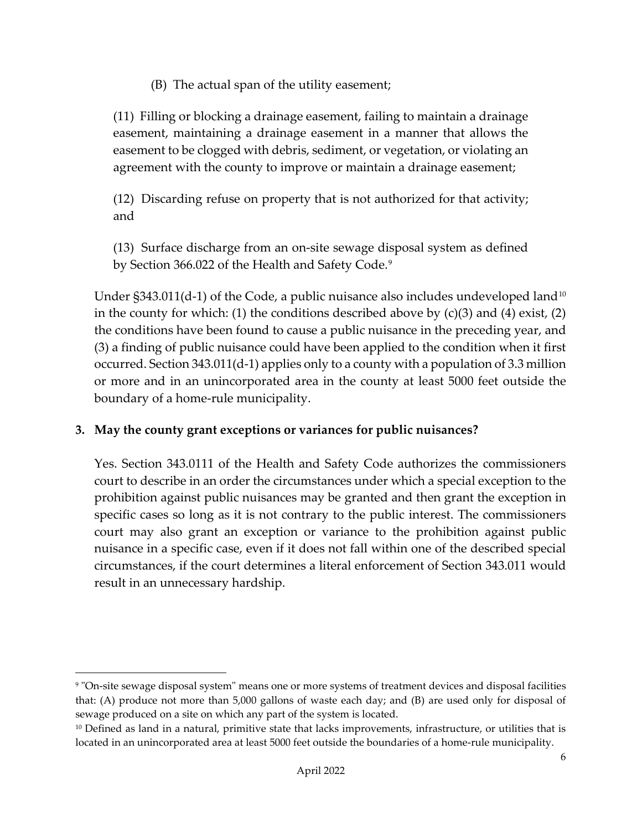(B) The actual span of the utility easement;

(11) Filling or blocking a drainage easement, failing to maintain a drainage easement, maintaining a drainage easement in a manner that allows the easement to be clogged with debris, sediment, or vegetation, or violating an agreement with the county to improve or maintain a drainage easement;

(12) Discarding refuse on property that is not authorized for that activity; and

(13) Surface discharge from an on-site sewage disposal system as defined by Section 366.022 of the Health and Safety Code.<sup>[9](#page-6-0)</sup>

Under  $\S 343.011(d-1)$  of the Code, a public nuisance also includes undeveloped land<sup>[10](#page-6-1)</sup> in the county for which: (1) the conditions described above by  $(c)(3)$  and (4) exist, (2) the conditions have been found to cause a public nuisance in the preceding year, and (3) a finding of public nuisance could have been applied to the condition when it first occurred. Section 343.011(d-1) applies only to a county with a population of 3.3 million or more and in an unincorporated area in the county at least 5000 feet outside the boundary of a home-rule municipality.

#### **3. May the county grant exceptions or variances for public nuisances?**

Yes. Section 343.0111 of the Health and Safety Code authorizes the commissioners court to describe in an order the circumstances under which a special exception to the prohibition against public nuisances may be granted and then grant the exception in specific cases so long as it is not contrary to the public interest. The commissioners court may also grant an exception or variance to the prohibition against public nuisance in a specific case, even if it does not fall within one of the described special circumstances, if the court determines a literal enforcement of Section 343.011 would result in an unnecessary hardship.

<span id="page-6-0"></span><sup>9</sup> "On-site sewage disposal system" means one or more systems of treatment devices and disposal facilities that: (A) produce not more than 5,000 gallons of waste each day; and (B) are used only for disposal of sewage produced on a site on which any part of the system is located.

<span id="page-6-1"></span><sup>10</sup> Defined as land in a natural, primitive state that lacks improvements, infrastructure, or utilities that is located in an unincorporated area at least 5000 feet outside the boundaries of a home-rule municipality.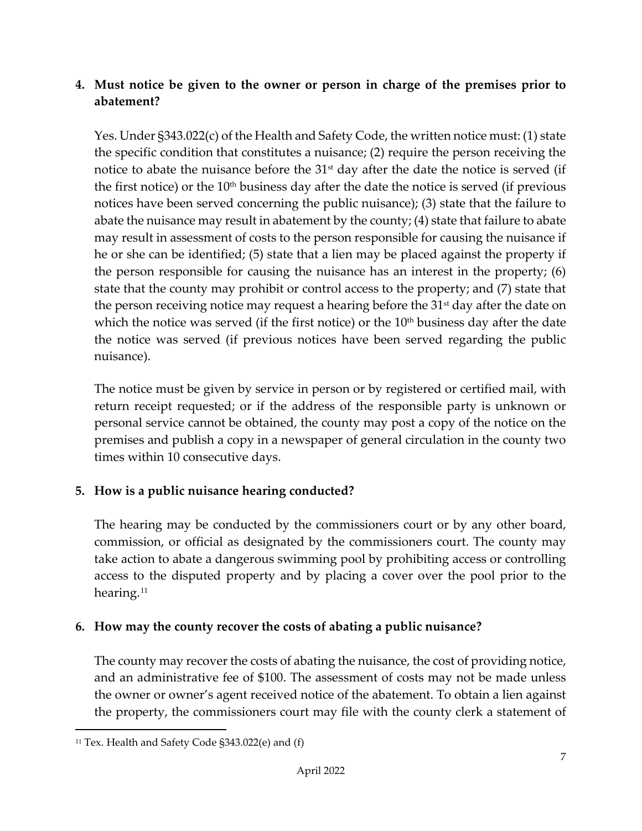## **4. Must notice be given to the owner or person in charge of the premises prior to abatement?**

Yes. Under §343.022(c) of the Health and Safety Code, the written notice must: (1) state the specific condition that constitutes a nuisance; (2) require the person receiving the notice to abate the nuisance before the  $31<sup>st</sup>$  day after the date the notice is served (if the first notice) or the  $10<sup>th</sup>$  business day after the date the notice is served (if previous notices have been served concerning the public nuisance); (3) state that the failure to abate the nuisance may result in abatement by the county; (4) state that failure to abate may result in assessment of costs to the person responsible for causing the nuisance if he or she can be identified; (5) state that a lien may be placed against the property if the person responsible for causing the nuisance has an interest in the property; (6) state that the county may prohibit or control access to the property; and (7) state that the person receiving notice may request a hearing before the 31<sup>st</sup> day after the date on which the notice was served (if the first notice) or the  $10<sup>th</sup>$  business day after the date the notice was served (if previous notices have been served regarding the public nuisance).

The notice must be given by service in person or by registered or certified mail, with return receipt requested; or if the address of the responsible party is unknown or personal service cannot be obtained, the county may post a copy of the notice on the premises and publish a copy in a newspaper of general circulation in the county two times within 10 consecutive days.

## **5. How is a public nuisance hearing conducted?**

The hearing may be conducted by the commissioners court or by any other board, commission, or official as designated by the commissioners court. The county may take action to abate a dangerous swimming pool by prohibiting access or controlling access to the disputed property and by placing a cover over the pool prior to the hearing.<sup>[11](#page-7-0)</sup>

## **6. How may the county recover the costs of abating a public nuisance?**

The county may recover the costs of abating the nuisance, the cost of providing notice, and an administrative fee of \$100. The assessment of costs may not be made unless the owner or owner's agent received notice of the abatement. To obtain a lien against the property, the commissioners court may file with the county clerk a statement of

<span id="page-7-0"></span><sup>11</sup> Tex. Health and Safety Code §343.022(e) and (f)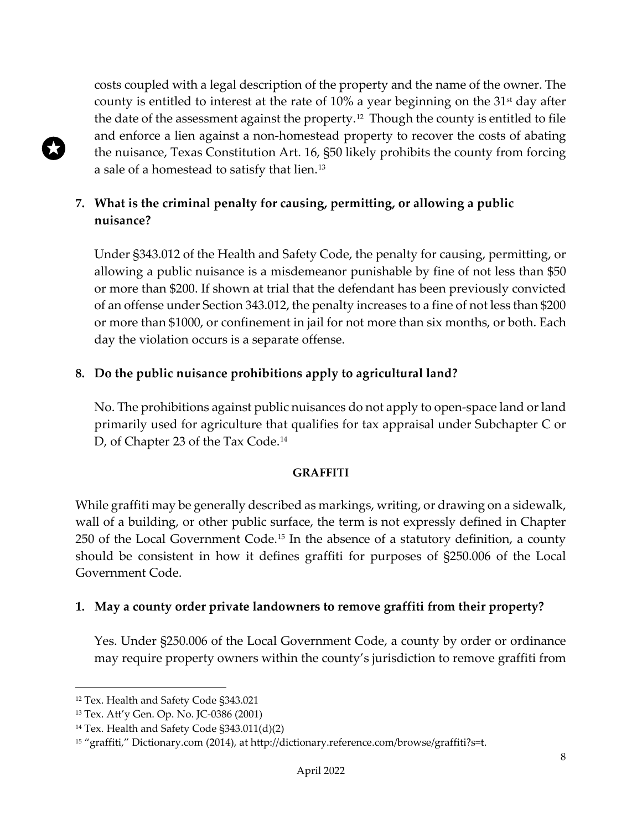costs coupled with a legal description of the property and the name of the owner. The county is entitled to interest at the rate of 10% a year beginning on the 31<sup>st</sup> day after the date of the assessment against the property.[12](#page-8-0) Though the county is entitled to file and enforce a lien against a non-homestead property to recover the costs of abating the nuisance, Texas Constitution Art. 16, §50 likely prohibits the county from forcing a sale of a homestead to satisfy that lien.[13](#page-8-1)

## **7. What is the criminal penalty for causing, permitting, or allowing a public nuisance?**

Under §343.012 of the Health and Safety Code, the penalty for causing, permitting, or allowing a public nuisance is a misdemeanor punishable by fine of not less than \$50 or more than \$200. If shown at trial that the defendant has been previously convicted of an offense under Section 343.012, the penalty increases to a fine of not less than \$200 or more than \$1000, or confinement in jail for not more than six months, or both. Each day the violation occurs is a separate offense.

## **8. Do the public nuisance prohibitions apply to agricultural land?**

No. The prohibitions against public nuisances do not apply to open-space land or land primarily used for agriculture that qualifies for tax appraisal under Subchapter C or D, of Chapter 23 of the Tax Code.[14](#page-8-2)

#### **GRAFFITI**

While graffiti may be generally described as markings, writing, or drawing on a sidewalk, wall of a building, or other public surface, the term is not expressly defined in Chapter 250 of the Local Government Code.<sup>[15](#page-8-3)</sup> In the absence of a statutory definition, a county should be consistent in how it defines graffiti for purposes of §250.006 of the Local Government Code.

#### **1. May a county order private landowners to remove graffiti from their property?**

Yes. Under §250.006 of the Local Government Code, a county by order or ordinance may require property owners within the county's jurisdiction to remove graffiti from

<span id="page-8-0"></span><sup>12</sup> Tex. Health and Safety Code §343.021

<span id="page-8-1"></span><sup>13</sup> Tex. Att'y Gen. Op. No. JC-0386 (2001)

<span id="page-8-2"></span><sup>14</sup> Tex. Health and Safety Code §343.011(d)(2)

<span id="page-8-3"></span><sup>&</sup>lt;sup>15</sup> "graffiti," Dictionary.com (2014), at http://dictionary.reference.com/browse/graffiti?s=t.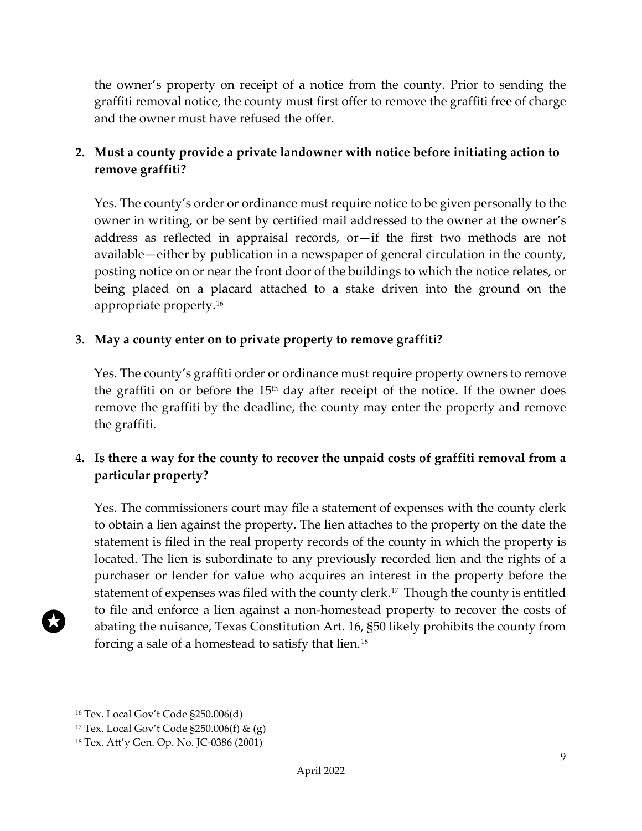the owner's property on receipt of a notice from the county. Prior to sending the graffiti removal notice, the county must first offer to remove the graffiti free of charge and the owner must have refused the offer.

## **2. Must a county provide a private landowner with notice before initiating action to remove graffiti?**

Yes. The county's order or ordinance must require notice to be given personally to the owner in writing, or be sent by certified mail addressed to the owner at the owner's address as reflected in appraisal records, or—if the first two methods are not available—either by publication in a newspaper of general circulation in the county, posting notice on or near the front door of the buildings to which the notice relates, or being placed on a placard attached to a stake driven into the ground on the appropriate property.[16](#page-9-0)

#### **3. May a county enter on to private property to remove graffiti?**

Yes. The county's graffiti order or ordinance must require property owners to remove the graffiti on or before the  $15<sup>th</sup>$  day after receipt of the notice. If the owner does remove the graffiti by the deadline, the county may enter the property and remove the graffiti.

## **4. Is there a way for the county to recover the unpaid costs of graffiti removal from a particular property?**

Yes. The commissioners court may file a statement of expenses with the county clerk to obtain a lien against the property. The lien attaches to the property on the date the statement is filed in the real property records of the county in which the property is located. The lien is subordinate to any previously recorded lien and the rights of a purchaser or lender for value who acquires an interest in the property before the statement of expenses was filed with the county clerk.<sup>[17](#page-9-1)</sup> Though the county is entitled to file and enforce a lien against a non-homestead property to recover the costs of abating the nuisance, Texas Constitution Art. 16, §50 likely prohibits the county from forcing a sale of a homestead to satisfy that lien.<sup>[18](#page-9-2)</sup>

<span id="page-9-0"></span><sup>16</sup> Tex. Local Gov't Code §250.006(d)

<span id="page-9-1"></span><sup>17</sup> Tex. Local Gov't Code §250.006(f) & (g)

<span id="page-9-2"></span><sup>18</sup> Tex. Att'y Gen. Op. No. JC-0386 (2001)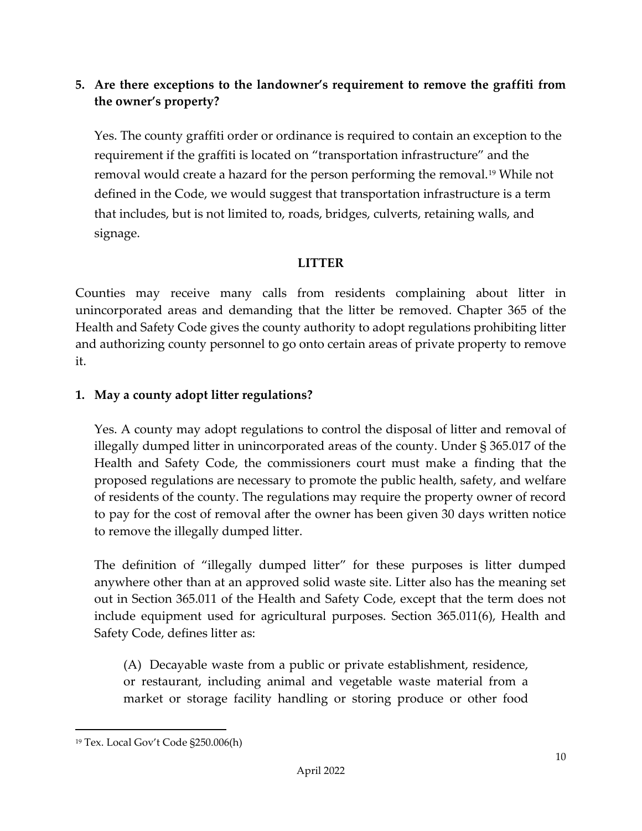## **5. Are there exceptions to the landowner's requirement to remove the graffiti from the owner's property?**

Yes. The county graffiti order or ordinance is required to contain an exception to the requirement if the graffiti is located on "transportation infrastructure" and the removal would create a hazard for the person performing the removal.<sup>[19](#page-10-0)</sup> While not defined in the Code, we would suggest that transportation infrastructure is a term that includes, but is not limited to, roads, bridges, culverts, retaining walls, and signage.

#### **LITTER**

Counties may receive many calls from residents complaining about litter in unincorporated areas and demanding that the litter be removed. Chapter 365 of the Health and Safety Code gives the county authority to adopt regulations prohibiting litter and authorizing county personnel to go onto certain areas of private property to remove it.

#### **1. May a county adopt litter regulations?**

Yes. A county may adopt regulations to control the disposal of litter and removal of illegally dumped litter in unincorporated areas of the county. Under § 365.017 of the Health and Safety Code, the commissioners court must make a finding that the proposed regulations are necessary to promote the public health, safety, and welfare of residents of the county. The regulations may require the property owner of record to pay for the cost of removal after the owner has been given 30 days written notice to remove the illegally dumped litter.

The definition of "illegally dumped litter" for these purposes is litter dumped anywhere other than at an approved solid waste site. Litter also has the meaning set out in Section 365.011 of the Health and Safety Code, except that the term does not include equipment used for agricultural purposes. Section 365.011(6), Health and Safety Code, defines litter as:

(A) Decayable waste from a public or private establishment, residence, or restaurant, including animal and vegetable waste material from a market or storage facility handling or storing produce or other food

<span id="page-10-0"></span><sup>19</sup> Tex. Local Gov't Code §250.006(h)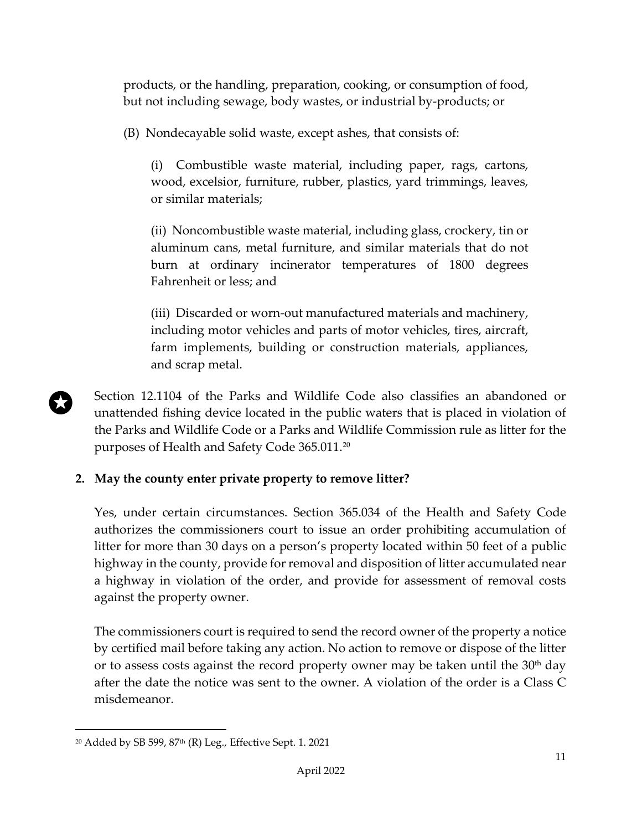products, or the handling, preparation, cooking, or consumption of food, but not including sewage, body wastes, or industrial by-products; or

(B) Nondecayable solid waste, except ashes, that consists of:

(i) Combustible waste material, including paper, rags, cartons, wood, excelsior, furniture, rubber, plastics, yard trimmings, leaves, or similar materials;

(ii) Noncombustible waste material, including glass, crockery, tin or aluminum cans, metal furniture, and similar materials that do not burn at ordinary incinerator temperatures of 1800 degrees Fahrenheit or less; and

(iii) Discarded or worn-out manufactured materials and machinery, including motor vehicles and parts of motor vehicles, tires, aircraft, farm implements, building or construction materials, appliances, and scrap metal.

Section 12.1104 of the Parks and Wildlife Code also classifies an abandoned or unattended fishing device located in the public waters that is placed in violation of the Parks and Wildlife Code or a Parks and Wildlife Commission rule as litter for the purposes of Health and Safety Code 365.011.[20](#page-11-0)

## **2. May the county enter private property to remove litter?**

Yes, under certain circumstances. Section 365.034 of the Health and Safety Code authorizes the commissioners court to issue an order prohibiting accumulation of litter for more than 30 days on a person's property located within 50 feet of a public highway in the county, provide for removal and disposition of litter accumulated near a highway in violation of the order, and provide for assessment of removal costs against the property owner.

The commissioners court is required to send the record owner of the property a notice by certified mail before taking any action. No action to remove or dispose of the litter or to assess costs against the record property owner may be taken until the  $30<sup>th</sup>$  day after the date the notice was sent to the owner. A violation of the order is a Class C misdemeanor.

<span id="page-11-0"></span><sup>20</sup> Added by SB 599, 87th (R) Leg., Effective Sept. 1. 2021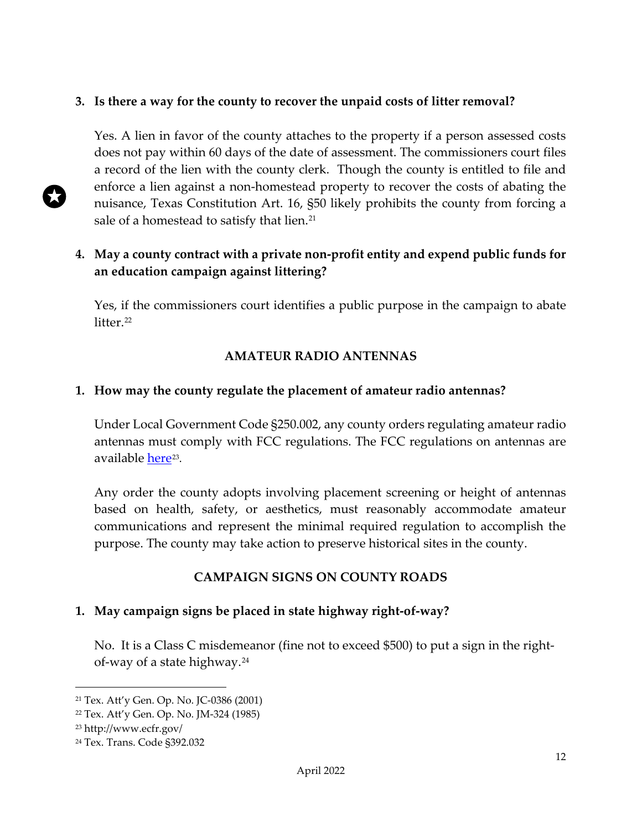#### **3. Is there a way for the county to recover the unpaid costs of litter removal?**

Yes. A lien in favor of the county attaches to the property if a person assessed costs does not pay within 60 days of the date of assessment. The commissioners court files a record of the lien with the county clerk. Though the county is entitled to file and enforce a lien against a non-homestead property to recover the costs of abating the nuisance, Texas Constitution Art. 16, §50 likely prohibits the county from forcing a sale of a homestead to satisfy that lien.<sup>[21](#page-12-0)</sup>

## **4. May a county contract with a private non-profit entity and expend public funds for an education campaign against littering?**

Yes, if the commissioners court identifies a public purpose in the campaign to abate litter.<sup>[22](#page-12-1)</sup>

## **AMATEUR RADIO ANTENNAS**

#### **1. How may the county regulate the placement of amateur radio antennas?**

Under Local Government Code §250.002, any county orders regulating amateur radio antennas must comply with FCC regulations. The FCC regulations on antennas are available [here](http://www.ecfr.gov/cgi-bin/text-idx?SID=ed0606f77ad101efbeb21deec002cf40&tpl=/ecfrbrowse/Title47/47cfr97_main_02.tpl)<sup>[23](#page-12-2)</sup>.

Any order the county adopts involving placement screening or height of antennas based on health, safety, or aesthetics, must reasonably accommodate amateur communications and represent the minimal required regulation to accomplish the purpose. The county may take action to preserve historical sites in the county.

## **CAMPAIGN SIGNS ON COUNTY ROADS**

## **1. May campaign signs be placed in state highway right-of-way?**

No. It is a Class C misdemeanor (fine not to exceed \$500) to put a sign in the rightof-way of a state highway.[24](#page-12-3) 

<span id="page-12-0"></span><sup>21</sup> Tex. Att'y Gen. Op. No. JC-0386 (2001)

<span id="page-12-1"></span><sup>22</sup> Tex. Att'y Gen. Op. No. JM-324 (1985)

<span id="page-12-2"></span><sup>23</sup> http://www.ecfr.gov/

<span id="page-12-3"></span><sup>24</sup> Tex. Trans. Code §392.032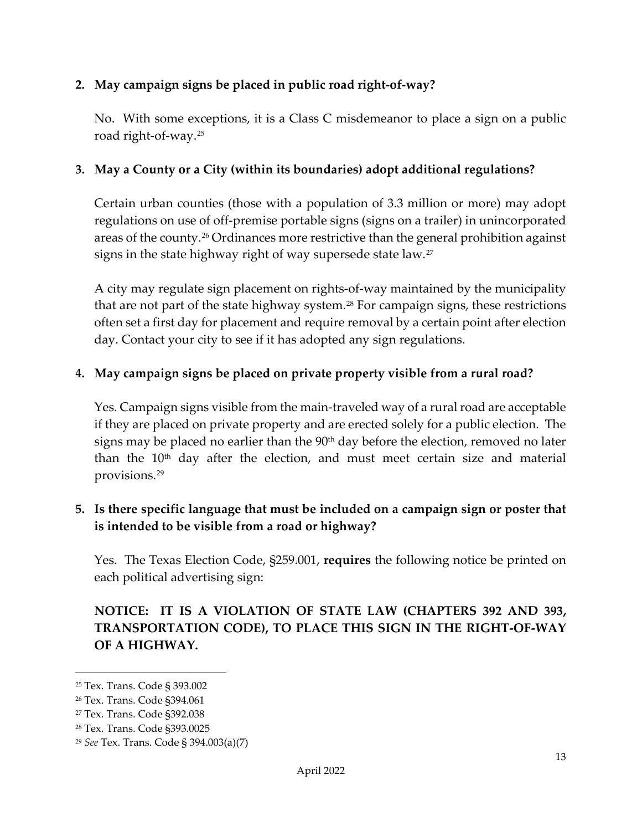#### **2. May campaign signs be placed in public road right-of-way?**

No. With some exceptions, it is a Class C misdemeanor to place a sign on a public road right-of-way.[25](#page-13-0)

#### **3. May a County or a City (within its boundaries) adopt additional regulations?**

Certain urban counties (those with a population of 3.3 million or more) may adopt regulations on use of off-premise portable signs (signs on a trailer) in unincorporated areas of the county.<sup>[26](#page-13-1)</sup> Ordinances more restrictive than the general prohibition against signs in the state highway right of way supersede state law.<sup>[27](#page-13-2)</sup>

A city may regulate sign placement on rights-of-way maintained by the municipality that are not part of the state highway system.<sup>28</sup> For campaign signs, these restrictions often set a first day for placement and require removal by a certain point after election day. Contact your city to see if it has adopted any sign regulations.

#### **4. May campaign signs be placed on private property visible from a rural road?**

Yes. Campaign signs visible from the main-traveled way of a rural road are acceptable if they are placed on private property and are erected solely for a public election. The signs may be placed no earlier than the  $90<sup>th</sup>$  day before the election, removed no later than the  $10<sup>th</sup>$  day after the election, and must meet certain size and material provisions.[29](#page-13-4)

## **5. Is there specific language that must be included on a campaign sign or poster that is intended to be visible from a road or highway?**

Yes. The Texas Election Code, §259.001, **requires** the following notice be printed on each political advertising sign:

## **NOTICE: IT IS A VIOLATION OF STATE LAW (CHAPTERS 392 AND 393, TRANSPORTATION CODE), TO PLACE THIS SIGN IN THE RIGHT-OF-WAY OF A HIGHWAY.**

<span id="page-13-0"></span><sup>25</sup> Tex. Trans. Code § 393.002

<span id="page-13-1"></span><sup>26</sup> Tex. Trans. Code §394.061

<span id="page-13-2"></span><sup>27</sup> Tex. Trans. Code §392.038

<span id="page-13-3"></span><sup>28</sup> Tex. Trans. Code §393.0025

<span id="page-13-4"></span><sup>29</sup> *See* Tex. Trans. Code § 394.003(a)(7)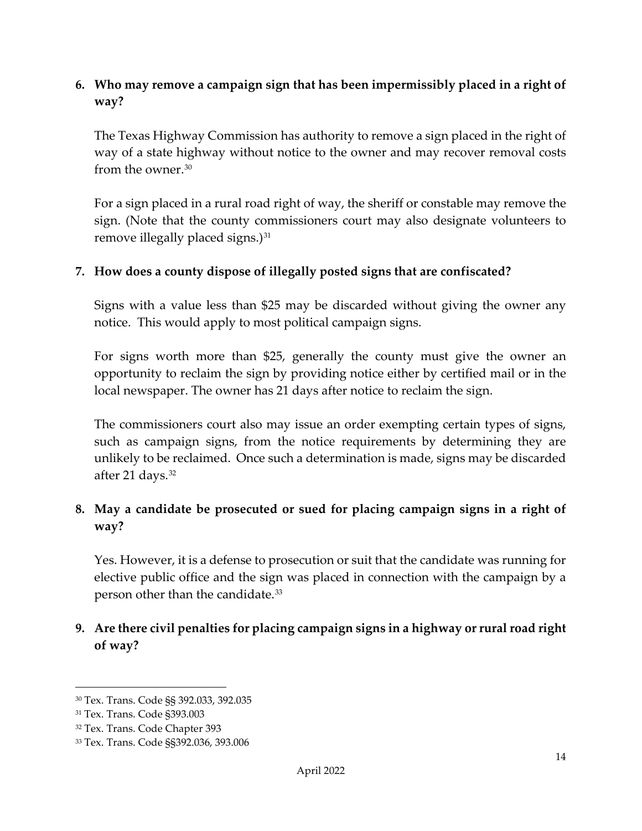#### **6. Who may remove a campaign sign that has been impermissibly placed in a right of way?**

The Texas Highway Commission has authority to remove a sign placed in the right of way of a state highway without notice to the owner and may recover removal costs from the owner.<sup>[30](#page-14-0)</sup>

For a sign placed in a rural road right of way, the sheriff or constable may remove the sign. (Note that the county commissioners court may also designate volunteers to remove illegally placed signs.)<sup>[31](#page-14-1)</sup>

#### **7. How does a county dispose of illegally posted signs that are confiscated?**

Signs with a value less than \$25 may be discarded without giving the owner any notice. This would apply to most political campaign signs.

For signs worth more than \$25, generally the county must give the owner an opportunity to reclaim the sign by providing notice either by certified mail or in the local newspaper. The owner has 21 days after notice to reclaim the sign.

The commissioners court also may issue an order exempting certain types of signs, such as campaign signs, from the notice requirements by determining they are unlikely to be reclaimed. Once such a determination is made, signs may be discarded after 21 days.[32](#page-14-2)

## **8. May a candidate be prosecuted or sued for placing campaign signs in a right of way?**

Yes. However, it is a defense to prosecution or suit that the candidate was running for elective public office and the sign was placed in connection with the campaign by a person other than the candidate.[33](#page-14-3)

## **9. Are there civil penalties for placing campaign signs in a highway or rural road right of way?**

<span id="page-14-0"></span><sup>30</sup> Tex. Trans. Code §§ 392.033, 392.035

<span id="page-14-1"></span><sup>31</sup> Tex. Trans. Code §393.003

<span id="page-14-2"></span><sup>32</sup> Tex. Trans. Code Chapter 393

<span id="page-14-3"></span><sup>33</sup> Tex. Trans. Code §§392.036, 393.006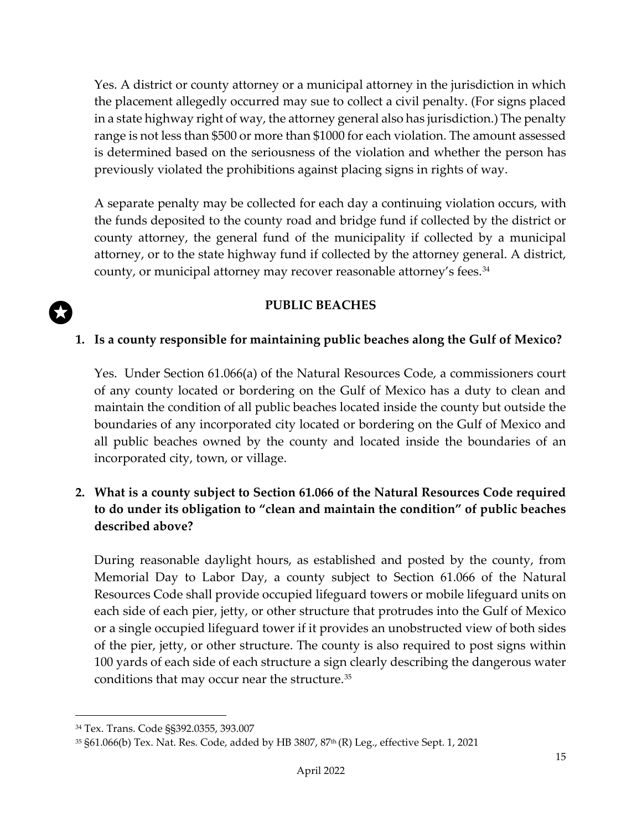Yes. A district or county attorney or a municipal attorney in the jurisdiction in which the placement allegedly occurred may sue to collect a civil penalty. (For signs placed in a state highway right of way, the attorney general also has jurisdiction.) The penalty range is not less than \$500 or more than \$1000 for each violation. The amount assessed is determined based on the seriousness of the violation and whether the person has previously violated the prohibitions against placing signs in rights of way.

A separate penalty may be collected for each day a continuing violation occurs, with the funds deposited to the county road and bridge fund if collected by the district or county attorney, the general fund of the municipality if collected by a municipal attorney, or to the state highway fund if collected by the attorney general. A district, county, or municipal attorney may recover reasonable attorney's fees.<sup>[34](#page-15-0)</sup>

#### **PUBLIC BEACHES**

#### **1. Is a county responsible for maintaining public beaches along the Gulf of Mexico?**

Yes. Under Section 61.066(a) of the Natural Resources Code, a commissioners court of any county located or bordering on the Gulf of Mexico has a duty to clean and maintain the condition of all public beaches located inside the county but outside the boundaries of any incorporated city located or bordering on the Gulf of Mexico and all public beaches owned by the county and located inside the boundaries of an incorporated city, town, or village.

## **2. What is a county subject to Section 61.066 of the Natural Resources Code required to do under its obligation to "clean and maintain the condition" of public beaches described above?**

During reasonable daylight hours, as established and posted by the county, from Memorial Day to Labor Day, a county subject to Section 61.066 of the Natural Resources Code shall provide occupied lifeguard towers or mobile lifeguard units on each side of each pier, jetty, or other structure that protrudes into the Gulf of Mexico or a single occupied lifeguard tower if it provides an unobstructed view of both sides of the pier, jetty, or other structure. The county is also required to post signs within 100 yards of each side of each structure a sign clearly describing the dangerous water conditions that may occur near the structure.[35](#page-15-1)

<span id="page-15-0"></span><sup>34</sup> Tex. Trans. Code §§392.0355, 393.007

<span id="page-15-1"></span><sup>35</sup> §61.066(b) Tex. Nat. Res. Code, added by HB 3807, 87th (R) Leg., effective Sept. 1, 2021